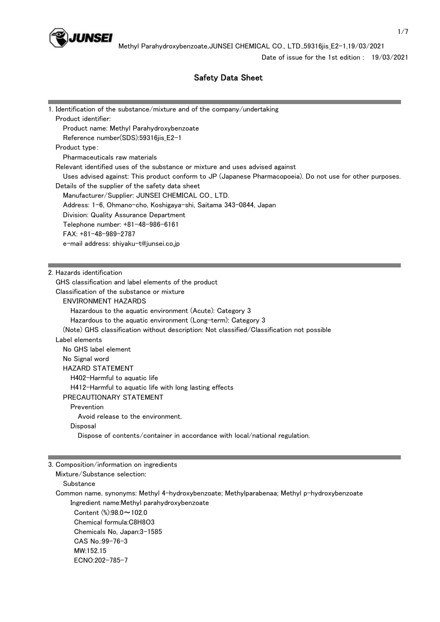

Date of issue for the 1st edition : 19/03/2021

# Safety Data Sheet

| 1. Identification of the substance/mixture and of the company/undertaking                                 |
|-----------------------------------------------------------------------------------------------------------|
| Product identifier:                                                                                       |
| Product name: Methyl Parahydroxybenzoate                                                                  |
| Reference number(SDS):59316jis_E2-1                                                                       |
| Product type:                                                                                             |
| Pharmaceuticals raw materials                                                                             |
| Relevant identified uses of the substance or mixture and uses advised against                             |
| Uses advised against: This product conform to JP (Japanese Pharmacopoeia). Do not use for other purposes. |
| Details of the supplier of the safety data sheet                                                          |
| Manufacturer/Supplier: JUNSEI CHEMICAL CO., LTD.                                                          |
| Address: 1-6, Ohmano-cho, Koshigaya-shi, Saitama 343-0844, Japan                                          |
| Division: Quality Assurance Department                                                                    |
| Telephone number: +81-48-986-6161                                                                         |
| FAX: +81-48-989-2787                                                                                      |
| e-mail address: shiyaku-t@junsei.co.jp                                                                    |
|                                                                                                           |
|                                                                                                           |
| 2. Hazards identification                                                                                 |
| GHS classification and label elements of the product                                                      |
| Classification of the substance or mixture                                                                |
| <b>ENVIRONMENT HAZARDS</b>                                                                                |
| Hazardous to the aquatic environment (Acute): Category 3                                                  |
| Hazardous to the aquatic environment (Long-term): Category 3                                              |
| (Note) GHS classification without description: Not classified/Classification not possible                 |
| Label elements                                                                                            |
| No GHS label element                                                                                      |
| No Signal word                                                                                            |
| <b>HAZARD STATEMENT</b>                                                                                   |
| H402-Harmful to aquatic life                                                                              |
| H412-Harmful to aquatic life with long lasting effects                                                    |
| PRECAUTIONARY STATEMENT                                                                                   |
| Prevention                                                                                                |
| Avoid release to the environment.                                                                         |
| Disposal                                                                                                  |
| Dispose of contents/container in accordance with local/national regulation.                               |
|                                                                                                           |
| 3. Composition/information on ingredients                                                                 |
| Mixture/Substance selection:                                                                              |
|                                                                                                           |

Substance

 Common name, synonyms: Methyl 4-hydroxybenzoate; Methylparabenaa; Methyl p-hydroxybenzoate Ingredient name:Methyl parahydroxybenzoate

 Content (%):98.0~102.0 Chemical formula:C8H8O3 Chemicals No, Japan:3-1585 CAS No.:99-76-3 MW:152.15 ECNO:202-785-7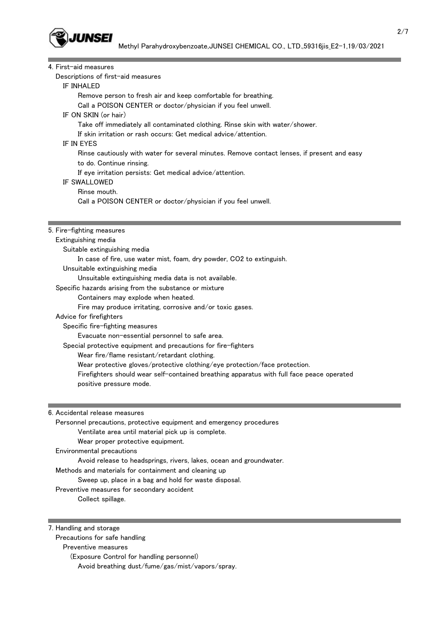

| 4. First-aid measures                                                                       |
|---------------------------------------------------------------------------------------------|
| Descriptions of first-aid measures                                                          |
| IF INHALED                                                                                  |
| Remove person to fresh air and keep comfortable for breathing.                              |
| Call a POISON CENTER or doctor/physician if you feel unwell.                                |
| IF ON SKIN (or hair)                                                                        |
| Take off immediately all contaminated clothing. Rinse skin with water/shower.               |
| If skin irritation or rash occurs: Get medical advice/attention.                            |
| IF IN EYES                                                                                  |
| Rinse cautiously with water for several minutes. Remove contact lenses, if present and easy |
| to do. Continue rinsing.                                                                    |
| If eye irritation persists: Get medical advice/attention.                                   |
| <b>IF SWALLOWED</b>                                                                         |
| Rinse mouth.                                                                                |
| Call a POISON CENTER or doctor/physician if you feel unwell.                                |
|                                                                                             |
|                                                                                             |
| 5. Fire-fighting measures                                                                   |
| Extinguishing media                                                                         |
| Suitable extinguishing media                                                                |
| In case of fire, use water mist, foam, dry powder, CO2 to extinguish.                       |
| Unsuitable extinguishing media                                                              |
| Unsuitable extinguishing media data is not available.                                       |
| Specific hazards arising from the substance or mixture                                      |
| Containers may explode when heated.                                                         |
| Fire may produce irritating, corrosive and/or toxic gases.                                  |
| Advice for firefighters                                                                     |
| Specific fire-fighting measures                                                             |
| Evacuate non-essential personnel to safe area.                                              |
| Special protective equipment and precautions for fire-fighters                              |
| Wear fire/flame resistant/retardant clothing.                                               |
| Wear protective gloves/protective clothing/eye protection/face protection.                  |
| Firefighters should wear self-contained breathing apparatus with full face peace operated   |
| positive pressure mode.                                                                     |

6. Accidental release measures

 Personnel precautions, protective equipment and emergency procedures Ventilate area until material pick up is complete. Wear proper protective equipment. Environmental precautions Avoid release to headsprings, rivers, lakes, ocean and groundwater. Methods and materials for containment and cleaning up Sweep up, place in a bag and hold for waste disposal. Preventive measures for secondary accident Collect spillage.

7. Handling and storage

Precautions for safe handling

Preventive measures

 (Exposure Control for handling personnel) Avoid breathing dust/fume/gas/mist/vapors/spray.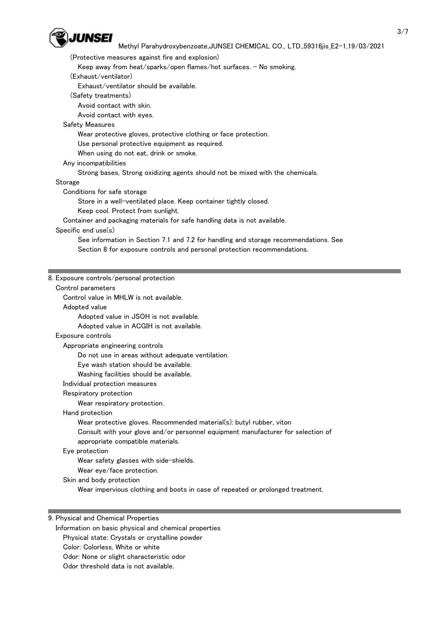

(Protective measures against fire and explosion)

Keep away from heat/sparks/open flames/hot surfaces. - No smoking.

(Exhaust/ventilator)

Exhaust/ventilator should be available.

(Safety treatments)

Avoid contact with skin.

Avoid contact with eyes.

Safety Measures

Wear protective gloves, protective clothing or face protection.

Use personal protective equipment as required.

When using do not eat, drink or smoke.

# Any incompatibilities

Strong bases, Strong oxidizing agents should not be mixed with the chemicals.

Storage

Conditions for safe storage

Store in a well-ventilated place. Keep container tightly closed.

Keep cool. Protect from sunlight.

Container and packaging materials for safe handling data is not available.

# Specific end use(s)

 See information in Section 7.1 and 7.2 for handling and storage recommendations. See Section 8 for exposure controls and personal protection recommendations.

# 8. Exposure controls/personal protection

Control parameters

Control value in MHLW is not available.

 Adopted value Adopted value in JSOH is not available. Adopted value in ACGIH is not available. Exposure controls Appropriate engineering controls Do not use in areas without adequate ventilation. Eye wash station should be available.

Washing facilities should be available.

Individual protection measures

#### Respiratory protection

Wear respiratory protection.

Hand protection

Wear protective gloves. Recommended material(s): butyl rubber, viton

Consult with your glove and/or personnel equipment manufacturer for selection of

appropriate compatible materials.

Eye protection

Wear safety glasses with side-shields.

Wear eye/face protection.

Skin and body protection

Wear impervious clothing and boots in case of repeated or prolonged treatment.

# 9. Physical and Chemical Properties

Information on basic physical and chemical properties

Physical state: Crystals or crystalline powder

- Color: Colorless, White or white
- Odor: None or slight characteristic odor
- Odor threshold data is not available.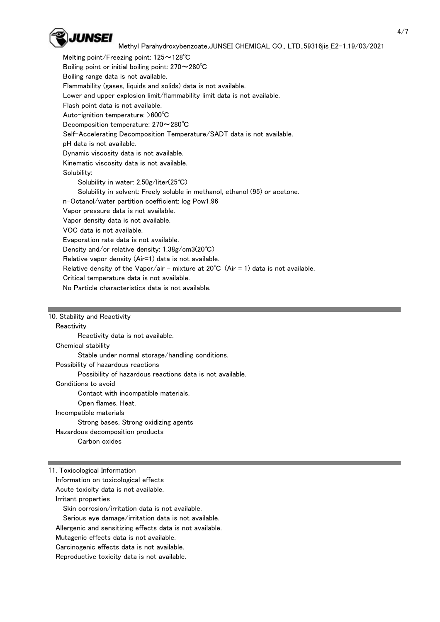

 Melting point/Freezing point: 125~128℃ Boiling point or initial boiling point: 270~280°C Boiling range data is not available. Flammability (gases, liquids and solids) data is not available. Lower and upper explosion limit/flammability limit data is not available. Flash point data is not available. Auto-ignition temperature: >600℃ Decomposition temperature: 270~280℃ Self-Accelerating Decomposition Temperature/SADT data is not available. pH data is not available. Dynamic viscosity data is not available. Kinematic viscosity data is not available. Solubility: Solubility in water: 2.50g/liter(25℃) Solubility in solvent: Freely soluble in methanol, ethanol (95) or acetone. n-Octanol/water partition coefficient: log Pow1.96 Vapor pressure data is not available. Vapor density data is not available. VOC data is not available. Evaporation rate data is not available. Density and/or relative density: 1.38g/cm3(20℃) Relative vapor density (Air=1) data is not available. Relative density of the Vapor/air - mixture at  $20^{\circ}C$  (Air = 1) data is not available. Critical temperature data is not available. No Particle characteristics data is not available.

10. Stability and Reactivity

## **Reactivity**

Reactivity data is not available.

Chemical stability

Stable under normal storage/handling conditions.

Possibility of hazardous reactions

Possibility of hazardous reactions data is not available.

Conditions to avoid

Contact with incompatible materials.

Open flames. Heat.

#### Incompatible materials

Strong bases, Strong oxidizing agents

Hazardous decomposition products

Carbon oxides

11. Toxicological Information

 Information on toxicological effects Acute toxicity data is not available.

Irritant properties

Skin corrosion/irritation data is not available.

Serious eye damage/irritation data is not available.

Allergenic and sensitizing effects data is not available.

Mutagenic effects data is not available.

Carcinogenic effects data is not available.

Reproductive toxicity data is not available.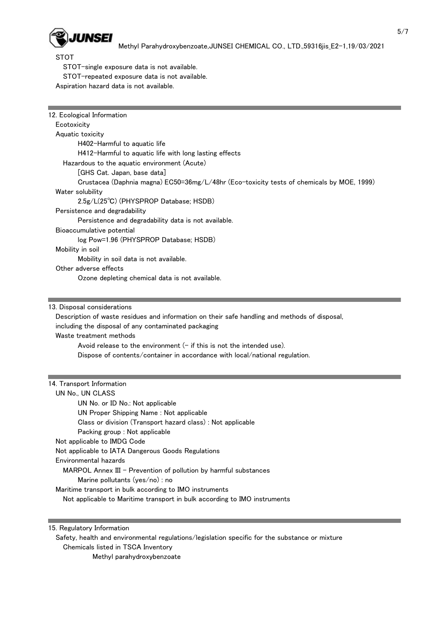

STOT

STOT-single exposure data is not available.

STOT-repeated exposure data is not available.

Aspiration hazard data is not available.

| Ecotoxicity                                                                                   |
|-----------------------------------------------------------------------------------------------|
| Aquatic toxicity                                                                              |
| H402-Harmful to aquatic life                                                                  |
| H412-Harmful to aquatic life with long lasting effects                                        |
| Hazardous to the aquatic environment (Acute)                                                  |
| [GHS Cat. Japan, base data]                                                                   |
| Crustacea (Daphnia magna) EC50=36mg/L/48hr (Eco-toxicity tests of chemicals by MOE, 1999)     |
| Water solubility                                                                              |
| 2.5g/L(25°C) (PHYSPROP Database; HSDB)                                                        |
| Persistence and degradability                                                                 |
| Persistence and degradability data is not available.                                          |
| Bioaccumulative potential                                                                     |
| log Pow=1.96 (PHYSPROP Database; HSDB)                                                        |
| Mobility in soil                                                                              |
| Mobility in soil data is not available.                                                       |
| Other adverse effects                                                                         |
| Ozone depleting chemical data is not available.                                               |
|                                                                                               |
| 13. Disposal considerations                                                                   |
| Description of waste residues and information on their safe handling and methods of disposal, |
| including the disposal of any contaminated packaging                                          |
| Waste treatment methods                                                                       |
|                                                                                               |
| Avoid release to the environment $(-$ if this is not the intended use).                       |
|                                                                                               |
| Dispose of contents/container in accordance with local/national regulation.                   |
|                                                                                               |
| 14. Transport Information                                                                     |
| UN No., UN CLASS                                                                              |
| UN No. or ID No.: Not applicable                                                              |
| UN Proper Shipping Name: Not applicable                                                       |
| Class or division (Transport hazard class) : Not applicable                                   |
| Packing group : Not applicable                                                                |
| Not applicable to IMDG Code                                                                   |
| Not applicable to IATA Dangerous Goods Regulations                                            |
| Environmental hazards                                                                         |
| MARPOL Annex III - Prevention of pollution by harmful substances                              |
| Marine pollutants (yes/no) : no                                                               |
| Maritime transport in bulk according to IMO instruments                                       |
| Not applicable to Maritime transport in bulk according to IMO instruments                     |

15. Regulatory Information

 Safety, health and environmental regulations/legislation specific for the substance or mixture Chemicals listed in TSCA Inventory

Methyl parahydroxybenzoate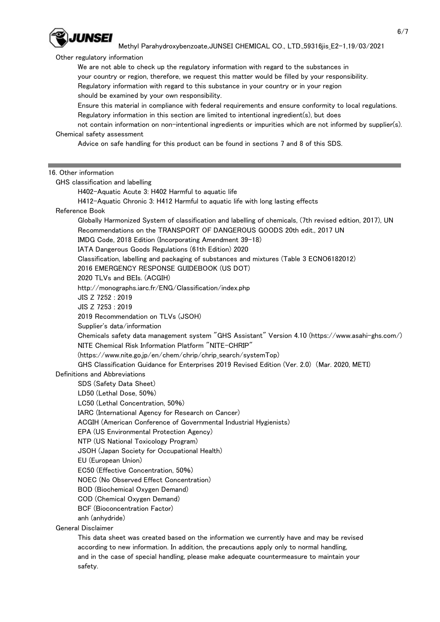

Other regulatory information

 We are not able to check up the regulatory information with regard to the substances in your country or region, therefore, we request this matter would be filled by your responsibility. Regulatory information with regard to this substance in your country or in your region should be examined by your own responsibility.

 Ensure this material in compliance with federal requirements and ensure conformity to local regulations. Regulatory information in this section are limited to intentional ingredient(s), but does

 not contain information on non-intentional ingredients or impurities which are not informed by supplier(s). Chemical safety assessment

Advice on safe handling for this product can be found in sections 7 and 8 of this SDS.

16. Other information

safety.

| GHS classification and labelling                                                                         |  |
|----------------------------------------------------------------------------------------------------------|--|
| H402-Aquatic Acute 3: H402 Harmful to aquatic life                                                       |  |
| H412-Aquatic Chronic 3: H412 Harmful to aquatic life with long lasting effects                           |  |
| Reference Book                                                                                           |  |
| Globally Harmonized System of classification and labelling of chemicals, (7th revised edition, 2017), UN |  |
| Recommendations on the TRANSPORT OF DANGEROUS GOODS 20th edit., 2017 UN                                  |  |
| IMDG Code, 2018 Edition (Incorporating Amendment 39-18)                                                  |  |
| IATA Dangerous Goods Regulations (61th Edition) 2020                                                     |  |
| Classification, labelling and packaging of substances and mixtures (Table 3 ECNO6182012)                 |  |
| 2016 EMERGENCY RESPONSE GUIDEBOOK (US DOT)                                                               |  |
| 2020 TLVs and BEIs. (ACGIH)                                                                              |  |
| http://monographs.iarc.fr/ENG/Classification/index.php                                                   |  |
| JIS Z 7252 : 2019                                                                                        |  |
| JIS Z 7253: 2019                                                                                         |  |
| 2019 Recommendation on TLVs (JSOH)                                                                       |  |
| Supplier's data/information                                                                              |  |
| Chemicals safety data management system "GHS Assistant" Version 4.10 (https://www.asahi-ghs.com/)        |  |
| NITE Chemical Risk Information Platform "NITE-CHRIP"                                                     |  |
| (https://www.nite.go.jp/en/chem/chrip/chrip_search/systemTop)                                            |  |
| GHS Classification Guidance for Enterprises 2019 Revised Edition (Ver. 2.0) (Mar. 2020, METI)            |  |
| Definitions and Abbreviations                                                                            |  |
| SDS (Safety Data Sheet)                                                                                  |  |
| LD50 (Lethal Dose, 50%)                                                                                  |  |
| LC50 (Lethal Concentration, 50%)                                                                         |  |
| IARC (International Agency for Research on Cancer)                                                       |  |
| ACGIH (American Conference of Governmental Industrial Hygienists)                                        |  |
| EPA (US Environmental Protection Agency)                                                                 |  |
| NTP (US National Toxicology Program)                                                                     |  |
| JSOH (Japan Society for Occupational Health)                                                             |  |
| EU (European Union)                                                                                      |  |
| EC50 (Effective Concentration, 50%)                                                                      |  |
| NOEC (No Observed Effect Concentration)                                                                  |  |
| BOD (Biochemical Oxygen Demand)                                                                          |  |
| COD (Chemical Oxygen Demand)                                                                             |  |
| BCF (Bioconcentration Factor)                                                                            |  |
| anh (anhydride)                                                                                          |  |
| <b>General Disclaimer</b>                                                                                |  |
| This data sheet was created based on the information we currently have and may be revised                |  |
| according to new information. In addition, the precautions apply only to normal handling,                |  |
| and in the case of special handling, please make adequate countermeasure to maintain your                |  |